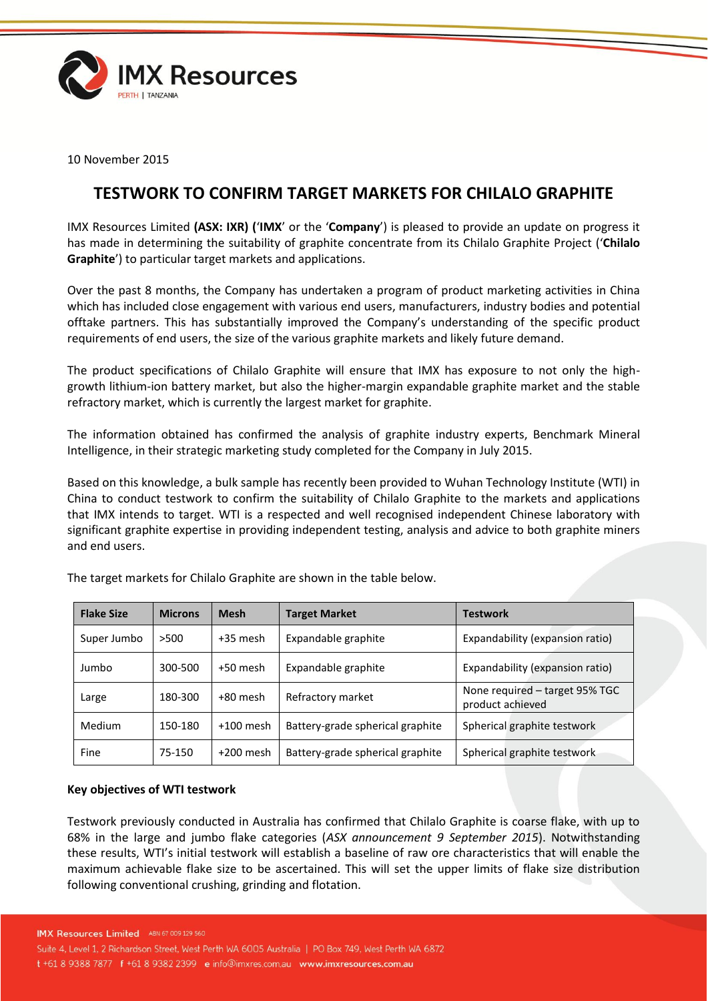

10 November 2015

# **TESTWORK TO CONFIRM TARGET MARKETS FOR CHILALO GRAPHITE**

IMX Resources Limited **(ASX: IXR) (**'**IMX**' or the '**Company**') is pleased to provide an update on progress it has made in determining the suitability of graphite concentrate from its Chilalo Graphite Project ('**Chilalo Graphite**') to particular target markets and applications.

Over the past 8 months, the Company has undertaken a program of product marketing activities in China which has included close engagement with various end users, manufacturers, industry bodies and potential offtake partners. This has substantially improved the Company's understanding of the specific product requirements of end users, the size of the various graphite markets and likely future demand.

The product specifications of Chilalo Graphite will ensure that IMX has exposure to not only the highgrowth lithium-ion battery market, but also the higher-margin expandable graphite market and the stable refractory market, which is currently the largest market for graphite.

The information obtained has confirmed the analysis of graphite industry experts, Benchmark Mineral Intelligence, in their strategic marketing study completed for the Company in July 2015.

Based on this knowledge, a bulk sample has recently been provided to Wuhan Technology Institute (WTI) in China to conduct testwork to confirm the suitability of Chilalo Graphite to the markets and applications that IMX intends to target. WTI is a respected and well recognised independent Chinese laboratory with significant graphite expertise in providing independent testing, analysis and advice to both graphite miners and end users.

| <b>Flake Size</b> | <b>Microns</b> | <b>Mesh</b> | <b>Target Market</b>             | <b>Testwork</b>                                    |
|-------------------|----------------|-------------|----------------------------------|----------------------------------------------------|
| Super Jumbo       | >500           | +35 mesh    | Expandable graphite              | Expandability (expansion ratio)                    |
| Jumbo             | 300-500        | +50 mesh    | Expandable graphite              | Expandability (expansion ratio)                    |
| Large             | 180-300        | +80 mesh    | Refractory market                | None required - target 95% TGC<br>product achieved |
| Medium            | 150-180        | $+100$ mesh | Battery-grade spherical graphite | Spherical graphite testwork                        |
| Fine              | 75-150         | $+200$ mesh | Battery-grade spherical graphite | Spherical graphite testwork                        |

The target markets for Chilalo Graphite are shown in the table below.

# **Key objectives of WTI testwork**

Testwork previously conducted in Australia has confirmed that Chilalo Graphite is coarse flake, with up to 68% in the large and jumbo flake categories (*ASX announcement 9 September 2015*). Notwithstanding these results, WTI's initial testwork will establish a baseline of raw ore characteristics that will enable the maximum achievable flake size to be ascertained. This will set the upper limits of flake size distribution following conventional crushing, grinding and flotation.

IMX Resources Limited ABN 67 009 129 560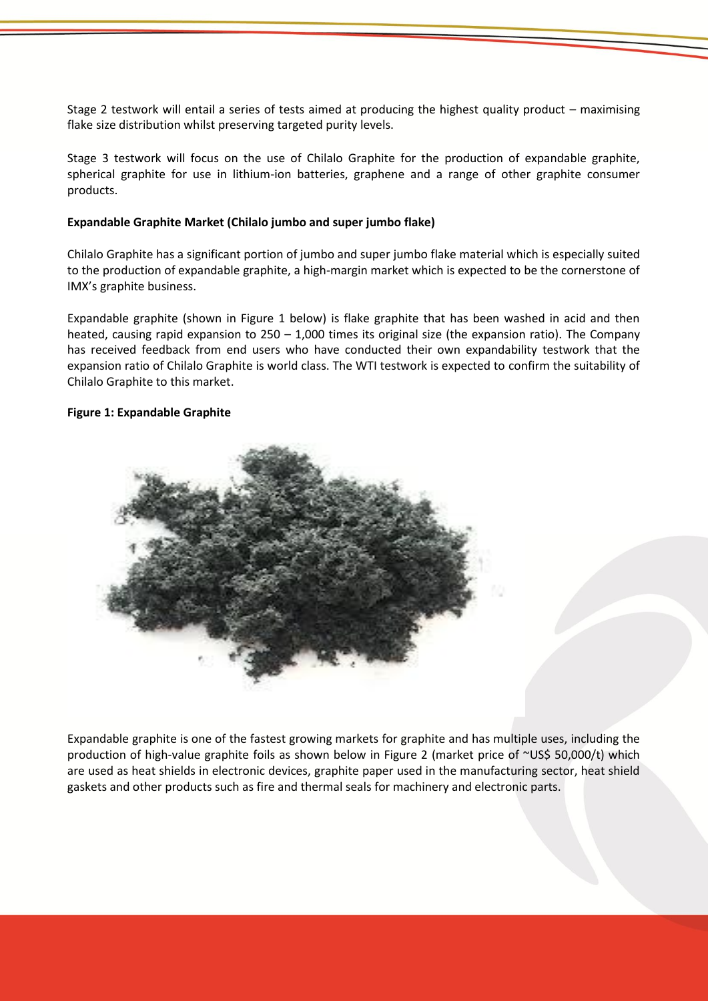Stage 2 testwork will entail a series of tests aimed at producing the highest quality product – maximising flake size distribution whilst preserving targeted purity levels.

Stage 3 testwork will focus on the use of Chilalo Graphite for the production of expandable graphite, spherical graphite for use in lithium-ion batteries, graphene and a range of other graphite consumer products.

# **Expandable Graphite Market (Chilalo jumbo and super jumbo flake)**

Chilalo Graphite has a significant portion of jumbo and super jumbo flake material which is especially suited to the production of expandable graphite, a high-margin market which is expected to be the cornerstone of IMX's graphite business.

Expandable graphite (shown in Figure 1 below) is flake graphite that has been washed in acid and then heated, causing rapid expansion to 250 – 1,000 times its original size (the expansion ratio). The Company has received feedback from end users who have conducted their own expandability testwork that the expansion ratio of Chilalo Graphite is world class. The WTI testwork is expected to confirm the suitability of Chilalo Graphite to this market.

## **Figure 1: Expandable Graphite**



Expandable graphite is one of the fastest growing markets for graphite and has multiple uses, including the production of high-value graphite foils as shown below in Figure 2 (market price of ~US\$ 50,000/t) which are used as heat shields in electronic devices, graphite paper used in the manufacturing sector, heat shield gaskets and other products such as fire and thermal seals for machinery and electronic parts.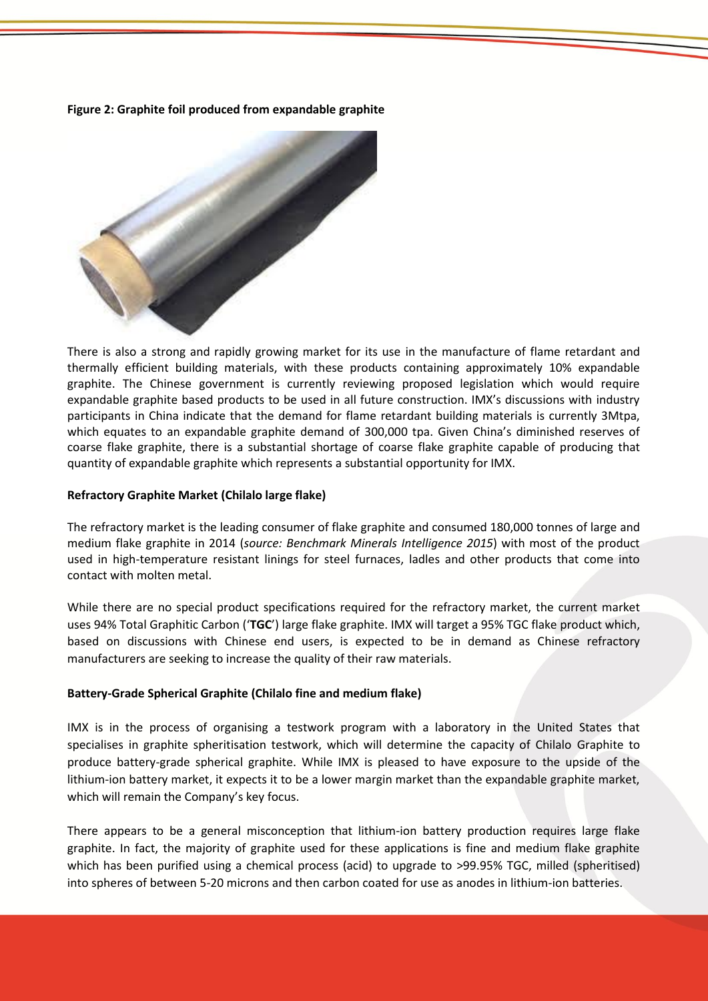**Figure 2: Graphite foil produced from expandable graphite**



There is also a strong and rapidly growing market for its use in the manufacture of flame retardant and thermally efficient building materials, with these products containing approximately 10% expandable graphite. The Chinese government is currently reviewing proposed legislation which would require expandable graphite based products to be used in all future construction. IMX's discussions with industry participants in China indicate that the demand for flame retardant building materials is currently 3Mtpa, which equates to an expandable graphite demand of 300,000 tpa. Given China's diminished reserves of coarse flake graphite, there is a substantial shortage of coarse flake graphite capable of producing that quantity of expandable graphite which represents a substantial opportunity for IMX.

## **Refractory Graphite Market (Chilalo large flake)**

The refractory market is the leading consumer of flake graphite and consumed 180,000 tonnes of large and medium flake graphite in 2014 (*source: Benchmark Minerals Intelligence 2015*) with most of the product used in high-temperature resistant linings for steel furnaces, ladles and other products that come into contact with molten metal.

While there are no special product specifications required for the refractory market, the current market uses 94% Total Graphitic Carbon ('**TGC**') large flake graphite. IMX will target a 95% TGC flake product which, based on discussions with Chinese end users, is expected to be in demand as Chinese refractory manufacturers are seeking to increase the quality of their raw materials.

# **Battery-Grade Spherical Graphite (Chilalo fine and medium flake)**

IMX is in the process of organising a testwork program with a laboratory in the United States that specialises in graphite spheritisation testwork, which will determine the capacity of Chilalo Graphite to produce battery-grade spherical graphite. While IMX is pleased to have exposure to the upside of the lithium-ion battery market, it expects it to be a lower margin market than the expandable graphite market, which will remain the Company's key focus.

There appears to be a general misconception that lithium-ion battery production requires large flake graphite. In fact, the majority of graphite used for these applications is fine and medium flake graphite which has been purified using a chemical process (acid) to upgrade to >99.95% TGC, milled (spheritised) into spheres of between 5-20 microns and then carbon coated for use as anodes in lithium-ion batteries.